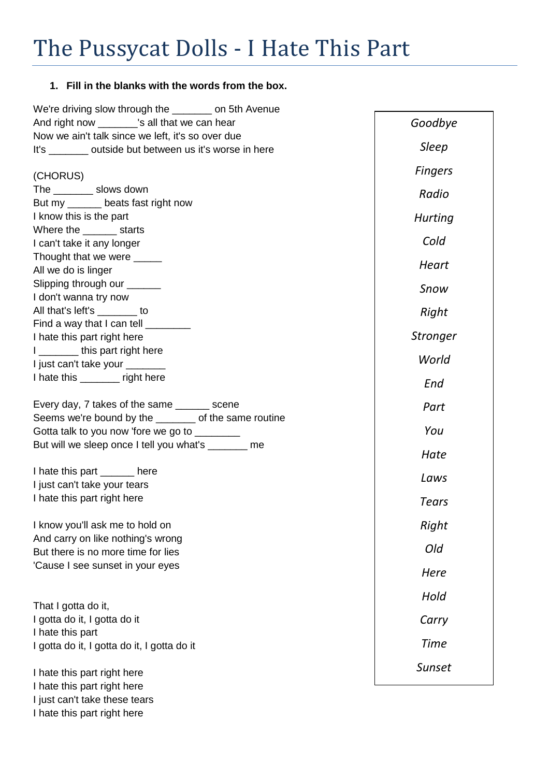## The Pussycat Dolls - I Hate This Part

## **1. Fill in the blanks with the words from the box.**

| We're driving slow through the ________ on 5th Avenue           |                 |
|-----------------------------------------------------------------|-----------------|
| And right now ________'s all that we can hear                   | Goodbye         |
| Now we ain't talk since we left, it's so over due               |                 |
| It's _________ outside but between us it's worse in here        | <b>Sleep</b>    |
| (CHORUS)                                                        | <b>Fingers</b>  |
| The __________ slows down                                       | Radio           |
| But my ______ beats fast right now                              |                 |
| I know this is the part                                         | <b>Hurting</b>  |
| Where the ________ starts                                       |                 |
| I can't take it any longer                                      | Cold            |
| Thought that we were ______<br>All we do is linger              | Heart           |
| Slipping through our ______                                     |                 |
| I don't wanna try now                                           | Snow            |
| All that's left's ________ to                                   | Right           |
| Find a way that I can tell _________                            |                 |
| I hate this part right here                                     | <b>Stronger</b> |
| I __________ this part right here                               |                 |
| I just can't take your ______                                   | World           |
| I hate this _______ right here                                  | End             |
| Every day, 7 takes of the same ________ scene                   | Part            |
| Seems we're bound by the _______ of the same routine            |                 |
| Gotta talk to you now 'fore we go to _________                  | You             |
| But will we sleep once I tell you what's _______ me             |                 |
|                                                                 | Hate            |
| I hate this part ______ here                                    | Laws            |
| I just can't take your tears                                    |                 |
| I hate this part right here                                     | Tears           |
| I know you'll ask me to hold on                                 | Right           |
| And carry on like nothing's wrong                               | Old             |
| But there is no more time for lies                              |                 |
| 'Cause I see sunset in your eyes                                | Here            |
|                                                                 | Hold            |
| That I gotta do it,                                             |                 |
| I gotta do it, I gotta do it                                    | Carry           |
| I hate this part<br>I gotta do it, I gotta do it, I gotta do it | <b>Time</b>     |
|                                                                 |                 |
| I hate this part right here                                     | <b>Sunset</b>   |
| I hate this part right here                                     |                 |

I just can't take these tears

I hate this part right here